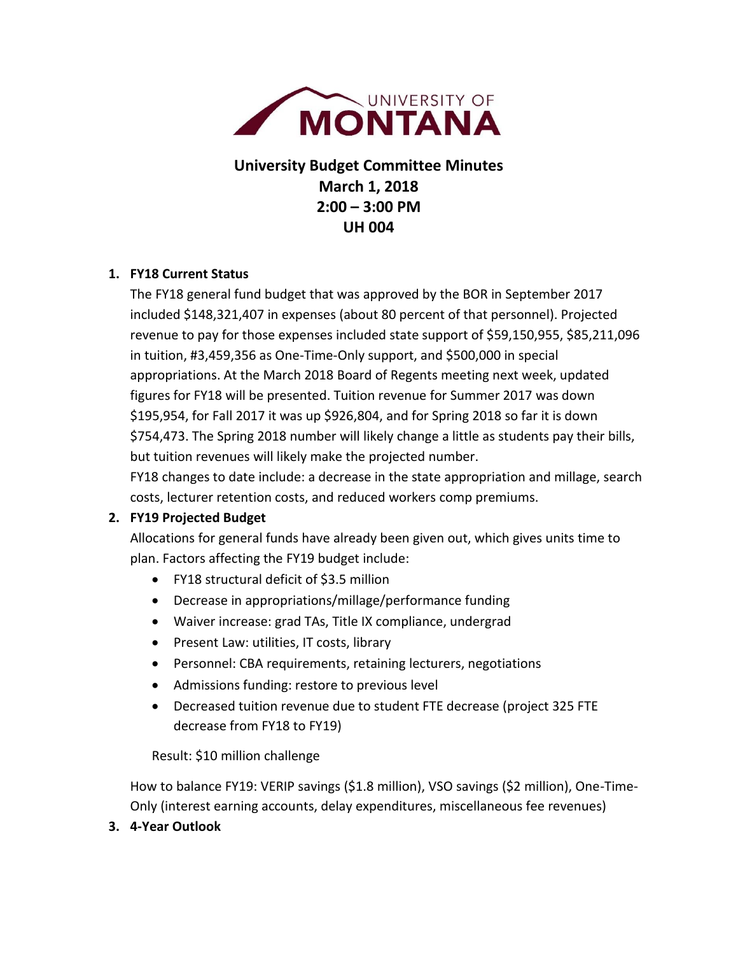

**University Budget Committee Minutes March 1, 2018 2:00 – 3:00 PM UH 004**

## **1. FY18 Current Status**

The FY18 general fund budget that was approved by the BOR in September 2017 included \$148,321,407 in expenses (about 80 percent of that personnel). Projected revenue to pay for those expenses included state support of \$59,150,955, \$85,211,096 in tuition, #3,459,356 as One-Time-Only support, and \$500,000 in special appropriations. At the March 2018 Board of Regents meeting next week, updated figures for FY18 will be presented. Tuition revenue for Summer 2017 was down \$195,954, for Fall 2017 it was up \$926,804, and for Spring 2018 so far it is down \$754,473. The Spring 2018 number will likely change a little as students pay their bills, but tuition revenues will likely make the projected number.

FY18 changes to date include: a decrease in the state appropriation and millage, search costs, lecturer retention costs, and reduced workers comp premiums.

## **2. FY19 Projected Budget**

Allocations for general funds have already been given out, which gives units time to plan. Factors affecting the FY19 budget include:

- FY18 structural deficit of \$3.5 million
- Decrease in appropriations/millage/performance funding
- Waiver increase: grad TAs, Title IX compliance, undergrad
- Present Law: utilities, IT costs, library
- Personnel: CBA requirements, retaining lecturers, negotiations
- Admissions funding: restore to previous level
- Decreased tuition revenue due to student FTE decrease (project 325 FTE decrease from FY18 to FY19)

Result: \$10 million challenge

How to balance FY19: VERIP savings (\$1.8 million), VSO savings (\$2 million), One-Time-Only (interest earning accounts, delay expenditures, miscellaneous fee revenues)

**3. 4-Year Outlook**